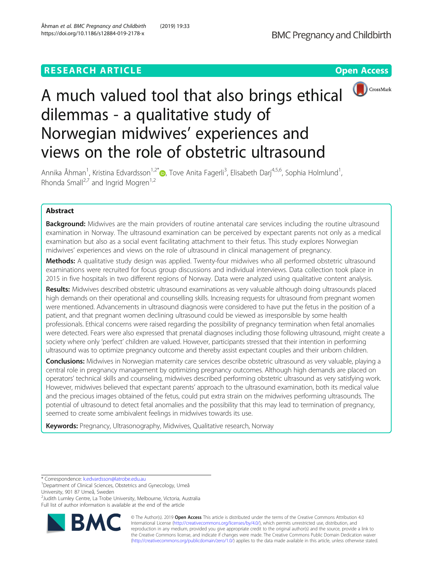# **RESEARCH ARTICLE EXECUTE: Open Access**



# A much valued tool that also brings ethical dilemmas - a qualitative study of Norwegian midwives' experiences and views on the role of obstetric ultrasound

Annika Åhman<sup>1</sup>, Kristina Edvardsson<sup>1,2[\\*](http://orcid.org/0000-0001-6883-3664)</sup>®, Tove Anita Fagerli<sup>3</sup>, Elisabeth Darj<sup>4,5,6</sup>, Sophia Holmlund<sup>1</sup> , Rhonda Small<sup>2,7</sup> and Ingrid Mogren<sup>1,2</sup>

# Abstract

**Background:** Midwives are the main providers of routine antenatal care services including the routine ultrasound examination in Norway. The ultrasound examination can be perceived by expectant parents not only as a medical examination but also as a social event facilitating attachment to their fetus. This study explores Norwegian midwives' experiences and views on the role of ultrasound in clinical management of pregnancy.

Methods: A qualitative study design was applied. Twenty-four midwives who all performed obstetric ultrasound examinations were recruited for focus group discussions and individual interviews. Data collection took place in 2015 in five hospitals in two different regions of Norway. Data were analyzed using qualitative content analysis.

Results: Midwives described obstetric ultrasound examinations as very valuable although doing ultrasounds placed high demands on their operational and counselling skills. Increasing requests for ultrasound from pregnant women were mentioned. Advancements in ultrasound diagnosis were considered to have put the fetus in the position of a patient, and that pregnant women declining ultrasound could be viewed as irresponsible by some health professionals. Ethical concerns were raised regarding the possibility of pregnancy termination when fetal anomalies were detected. Fears were also expressed that prenatal diagnoses including those following ultrasound, might create a society where only 'perfect' children are valued. However, participants stressed that their intention in performing ultrasound was to optimize pregnancy outcome and thereby assist expectant couples and their unborn children.

Conclusions: Midwives in Norwegian maternity care services describe obstetric ultrasound as very valuable, playing a central role in pregnancy management by optimizing pregnancy outcomes. Although high demands are placed on operators' technical skills and counseling, midwives described performing obstetric ultrasound as very satisfying work. However, midwives believed that expectant parents' approach to the ultrasound examination, both its medical value and the precious images obtained of the fetus, could put extra strain on the midwives performing ultrasounds. The potential of ultrasound to detect fetal anomalies and the possibility that this may lead to termination of pregnancy, seemed to create some ambivalent feelings in midwives towards its use.

Keywords: Pregnancy, Ultrasonography, Midwives, Qualitative research, Norway

2 Judith Lumley Centre, La Trobe University, Melbourne, Victoria, Australia Full list of author information is available at the end of the article



© The Author(s). 2019 **Open Access** This article is distributed under the terms of the Creative Commons Attribution 4.0 International License [\(http://creativecommons.org/licenses/by/4.0/](http://creativecommons.org/licenses/by/4.0/)), which permits unrestricted use, distribution, and reproduction in any medium, provided you give appropriate credit to the original author(s) and the source, provide a link to the Creative Commons license, and indicate if changes were made. The Creative Commons Public Domain Dedication waiver [\(http://creativecommons.org/publicdomain/zero/1.0/](http://creativecommons.org/publicdomain/zero/1.0/)) applies to the data made available in this article, unless otherwise stated.

<sup>\*</sup> Correspondence: [k.edvardsson@latrobe.edu.au](mailto:k.edvardsson@latrobe.edu.au) <sup>1</sup>

<sup>&</sup>lt;sup>1</sup>Department of Clinical Sciences, Obstetrics and Gynecology, Umeå University, 901 87 Umeå, Sweden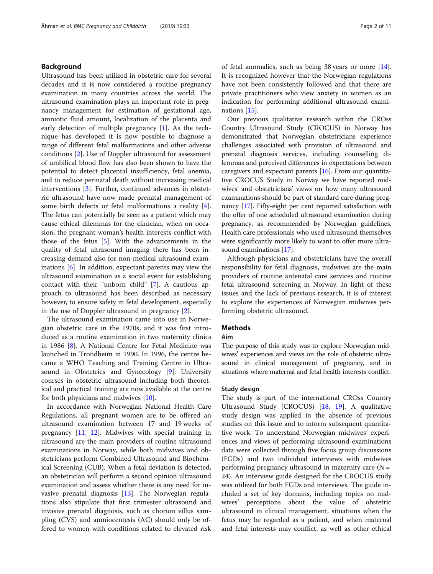# Background

Ultrasound has been utilized in obstetric care for several decades and it is now considered a routine pregnancy examination in many countries across the world. The ultrasound examination plays an important role in pregnancy management for estimation of gestational age, amniotic fluid amount, localization of the placenta and early detection of multiple pregnancy [[1\]](#page-9-0). As the technique has developed it is now possible to diagnose a range of different fetal malformations and other adverse conditions [[2](#page-9-0)]. Use of Doppler ultrasound for assessment of umbilical blood flow has also been shown to have the potential to detect placental insufficiency, fetal anemia, and to reduce perinatal death without increasing medical interventions [\[3](#page-9-0)]. Further, continued advances in obstetric ultrasound have now made prenatal management of some birth defects or fetal malformations a reality [\[4](#page-9-0)]. The fetus can potentially be seen as a patient which may cause ethical dilemmas for the clinician, when on occasion, the pregnant woman's health interests conflict with those of the fetus [\[5](#page-9-0)]. With the advancements in the quality of fetal ultrasound imaging there has been increasing demand also for non-medical ultrasound examinations [[6](#page-9-0)]. In addition, expectant parents may view the ultrasound examination as a social event for establishing contact with their "unborn child" [\[7](#page-9-0)]. A cautious approach to ultrasound has been described as necessary however, to ensure safety in fetal development, especially in the use of Doppler ultrasound in pregnancy [\[2](#page-9-0)].

The ultrasound examination came into use in Norwegian obstetric care in the 1970s, and it was first introduced as a routine examination in two maternity clinics in 1986 [\[8\]](#page-9-0). A National Centre for Fetal Medicine was launched in Trondheim in 1990. In 1996, the centre became a WHO Teaching and Training Centre in Ultrasound in Obstetrics and Gynecology [[9\]](#page-9-0). University courses in obstetric ultrasound including both theoretical and practical training are now available at the centre for both physicians and midwives [[10\]](#page-9-0).

In accordance with Norwegian National Health Care Regulations, all pregnant women are to be offered an ultrasound examination between 17 and 19 weeks of pregnancy [\[11](#page-9-0), [12](#page-9-0)]. Midwives with special training in ultrasound are the main providers of routine ultrasound examinations in Norway, while both midwives and obstetricians perform Combined Ultrasound and Biochemical Screening (CUB). When a fetal deviation is detected, an obstetrician will perform a second opinion ultrasound examination and assess whether there is any need for invasive prenatal diagnosis [\[13](#page-9-0)]. The Norwegian regulations also stipulate that first trimester ultrasound and invasive prenatal diagnosis, such as chorion villus sampling (CVS) and amniocentesis (AC) should only be offered to women with conditions related to elevated risk of fetal anomalies, such as being 38 years or more [\[14](#page-9-0)]. It is recognized however that the Norwegian regulations have not been consistently followed and that there are private practitioners who view anxiety in women as an indication for performing additional ultrasound examinations [[15\]](#page-9-0).

Our previous qualitative research within the CROss Country Ultrasound Study (CROCUS) in Norway has demonstrated that Norwegian obstetricians experience challenges associated with provision of ultrasound and prenatal diagnosis services, including counselling dilemmas and perceived differences in expectations between caregivers and expectant parents  $[16]$  $[16]$  $[16]$ . From our quantitative CROCUS Study in Norway we have reported midwives' and obstetricians' views on how many ultrasound examinations should be part of standard care during pregnancy [\[17\]](#page-9-0). Fifty-eight per cent reported satisfaction with the offer of one scheduled ultrasound examination during pregnancy, as recommended by Norwegian guidelines. Health care professionals who used ultrasound themselves were significantly more likely to want to offer more ultrasound examinations [[17](#page-9-0)].

Although physicians and obstetricians have the overall responsibility for fetal diagnosis, midwives are the main providers of routine antenatal care services and routine fetal ultrasound screening in Norway. In light of these issues and the lack of previous research, it is of interest to explore the experiences of Norwegian midwives performing obstetric ultrasound.

# Methods

# Aim

The purpose of this study was to explore Norwegian midwives' experiences and views on the role of obstetric ultrasound in clinical management of pregnancy, and in situations where maternal and fetal health interests conflict.

#### Study design

The study is part of the international CROss Country Ultrasound Study (CROCUS) [\[18](#page-9-0), [19\]](#page-9-0). A qualitative study design was applied in the absence of previous studies on this issue and to inform subsequent quantitative work. To understand Norwegian midwives' experiences and views of performing ultrasound examinations data were collected through five focus group discussions (FGDs) and two individual interviews with midwives performing pregnancy ultrasound in maternity care  $(N =$ 24). An interview guide designed for the CROCUS study was utilized for both FGDs and interviews. The guide included a set of key domains, including topics on midwives' perceptions about the value of obstetric ultrasound in clinical management, situations when the fetus may be regarded as a patient, and when maternal and fetal interests may conflict, as well as other ethical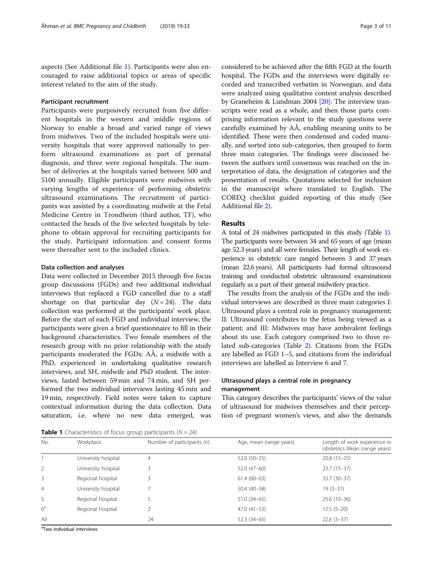aspects (See Additional file [1\)](#page-8-0). Participants were also encouraged to raise additional topics or areas of specific interest related to the aim of the study.

### Participant recruitment

Participants were purposively recruited from five different hospitals in the western and middle regions of Norway to enable a broad and varied range of views from midwives. Two of the included hospitals were university hospitals that were approved nationally to perform ultrasound examinations as part of prenatal diagnosis, and three were regional hospitals. The number of deliveries at the hospitals varied between 500 and 5100 annually. Eligible participants were midwives with varying lengths of experience of performing obstetric ultrasound examinations. The recruitment of participants was assisted by a coordinating midwife at the Fetal Medicine Centre in Trondheim (third author, TF), who contacted the heads of the five selected hospitals by telephone to obtain approval for recruiting participants for the study. Participant information and consent forms were thereafter sent to the included clinics.

#### Data collection and analyses

Data were collected in December 2015 through five focus group discussions (FGDs) and two additional individual interviews that replaced a FGD cancelled due to a staff shortage on that particular day  $(N = 24)$ . The data collection was performed at the participants' work place. Before the start of each FGD and individual interview, the participants were given a brief questionnaire to fill in their background characteristics. Two female members of the research group with no prior relationship with the study participants moderated the FGDs: AÅ, a midwife with a PhD, experienced in undertaking qualitative research interviews, and SH, midwife and PhD student. The interviews, lasted between 59 min and 74 min, and SH performed the two individual interviews lasting 45 min and 19 min, respectively. Field notes were taken to capture contextual information during the data collection. Data saturation, i.e. where no new data emerged, was

considered to be achieved after the fifth FGD at the fourth hospital. The FGDs and the interviews were digitally recorded and transcribed verbatim in Norwegian, and data were analyzed using qualitative content analysis described by Graneheim & Lundman 2004 [\[20\]](#page-9-0). The interview transcripts were read as a whole, and then those parts comprising information relevant to the study questions were carefully examined by AÅ, enabling meaning units to be identified. These were then condensed and coded manually, and sorted into sub-categories, then grouped to form three main categories. The findings were discussed between the authors until consensus was reached on the interpretation of data, the designation of categories and the presentation of results. Quotations selected for inclusion in the manuscript where translated to English. The COREQ checklist guided reporting of this study (See Additional file [2](#page-8-0)).

# Results

A total of 24 midwives participated in this study (Table 1). The participants were between 34 and 65 years of age (mean age 52.3 years) and all were females. Their length of work experience in obstetric care ranged between 3 and 37 years (mean 22.6 years). All participants had formal ultrasound training and conducted obstetric ultrasound examinations regularly as a part of their general midwifery practice.

The results from the analysis of the FGDs and the individual interviews are described in three main categories I: Ultrasound plays a central role in pregnancy management; II: Ultrasound contributes to the fetus being viewed as a patient; and III: Midwives may have ambivalent feelings about its use. Each category comprised two to three related sub-categories (Table [2](#page-3-0)). Citations from the FGDs are labelled as FGD 1–5, and citations from the individual interviews are labelled as Interview 6 and 7.

# Ultrasound plays a central role in pregnancy management

This category describes the participants' views of the value of ultrasound for midwives themselves and their perception of pregnant women's views, and also the demands

**Table 1** Characteristics of focus group participants  $(N = 24)$ 

| No.            | Workplace           | Number of participants (n) | Age, mean (range years) | Length of work experience in<br>obstetrics Mean (range years) |
|----------------|---------------------|----------------------------|-------------------------|---------------------------------------------------------------|
|                | University hospital | $\overline{4}$             | $52.0(50-55)$           | $20.8(15-25)$                                                 |
| $\mathcal{P}$  | University hospital |                            | $52.0(47-60)$           | $23.7(15-37)$                                                 |
| 3              | Regional hospital   |                            | $61.4(60-63)$           | $33.7(30-37)$                                                 |
| $\overline{4}$ | University hospital |                            | 50.4 (40-58)            | $19(3-31)$                                                    |
| 5              | Regional hospital   |                            | $51.0(34-65)$           | $25.6(10-36)$                                                 |
| 6 <sup>a</sup> | Regional hospital   |                            | $47.0(41-53)$           | $12.5(5-20)$                                                  |
| All            |                     | 24                         | $52.3(34-65)$           | $22.6(3-37)$                                                  |

<sup>a</sup>Two individual interviews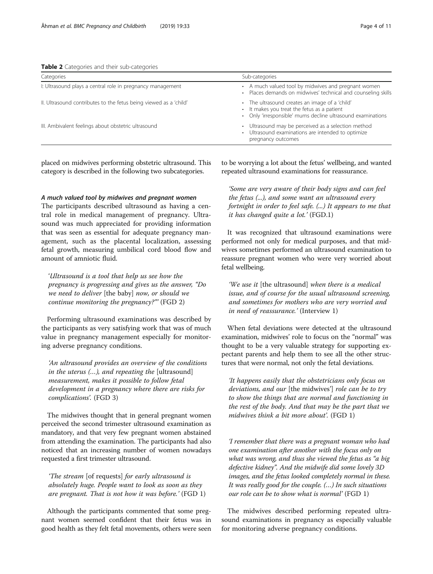<span id="page-3-0"></span>

|  |  |  |  |  | Table 2 Categories and their sub-categories |  |
|--|--|--|--|--|---------------------------------------------|--|
|--|--|--|--|--|---------------------------------------------|--|

| Categories                                                        | Sub-categories                                                                                                                                               |  |  |  |
|-------------------------------------------------------------------|--------------------------------------------------------------------------------------------------------------------------------------------------------------|--|--|--|
| I: Ultrasound plays a central role in pregnancy management        | • A much valued tool by midwives and pregnant women<br>· Places demands on midwives' technical and counseling skills                                         |  |  |  |
| II. Ultrasound contributes to the fetus being viewed as a 'child' | • The ultrasound creates an image of a 'child'<br>• It makes you treat the fetus as a patient<br>• Only 'irresponsible' mums decline ultrasound examinations |  |  |  |
| III. Ambivalent feelings about obstetric ultrasound               | • Ultrasound may be perceived as a selection method<br>• Ultrasound examinations are intended to optimize<br>pregnancy outcomes                              |  |  |  |

placed on midwives performing obstetric ultrasound. This category is described in the following two subcategories.

# A much valued tool by midwives and pregnant women

The participants described ultrasound as having a central role in medical management of pregnancy. Ultrasound was much appreciated for providing information that was seen as essential for adequate pregnancy management, such as the placental localization, assessing fetal growth, measuring umbilical cord blood flow and amount of amniotic fluid.

'Ultrasound is a tool that help us see how the pregnancy is progressing and gives us the answer, "Do we need to deliver [the baby] now, or should we continue monitoring the pregnancy?"' (FGD 2)

Performing ultrasound examinations was described by the participants as very satisfying work that was of much value in pregnancy management especially for monitoring adverse pregnancy conditions.

'An ultrasound provides an overview of the conditions in the uterus (…), and repeating the [ultrasound] measurement, makes it possible to follow fetal development in a pregnancy where there are risks for complications'. (FGD 3)

The midwives thought that in general pregnant women perceived the second trimester ultrasound examination as mandatory, and that very few pregnant women abstained from attending the examination. The participants had also noticed that an increasing number of women nowadays requested a first trimester ultrasound.

'The stream [of requests] for early ultrasound is absolutely huge. People want to look as soon as they are pregnant. That is not how it was before.' (FGD 1)

Although the participants commented that some pregnant women seemed confident that their fetus was in good health as they felt fetal movements, others were seen to be worrying a lot about the fetus' wellbeing, and wanted repeated ultrasound examinations for reassurance.

'Some are very aware of their body signs and can feel the fetus (...), and some want an ultrasound every fortnight in order to feel safe. (...) It appears to me that it has changed quite a lot.' (FGD.1)

It was recognized that ultrasound examinations were performed not only for medical purposes, and that midwives sometimes performed an ultrasound examination to reassure pregnant women who were very worried about fetal wellbeing.

'We use it [the ultrasound] when there is a medical issue, and of course for the usual ultrasound screening, and sometimes for mothers who are very worried and in need of reassurance.' (Interview 1)

When fetal deviations were detected at the ultrasound examination, midwives' role to focus on the "normal" was thought to be a very valuable strategy for supporting expectant parents and help them to see all the other structures that were normal, not only the fetal deviations.

'It happens easily that the obstetricians only focus on deviations, and our [the midwives'] role can be to try to show the things that are normal and functioning in the rest of the body. And that may be the part that we midwives think a bit more about'. (FGD 1)

'I remember that there was a pregnant woman who had one examination after another with the focus only on what was wrong, and thus she viewed the fetus as "a big defective kidney". And the midwife did some lovely 3D images, and the fetus looked completely normal in these. It was really good for the couple. (…) In such situations our role can be to show what is normal' (FGD 1)

The midwives described performing repeated ultrasound examinations in pregnancy as especially valuable for monitoring adverse pregnancy conditions.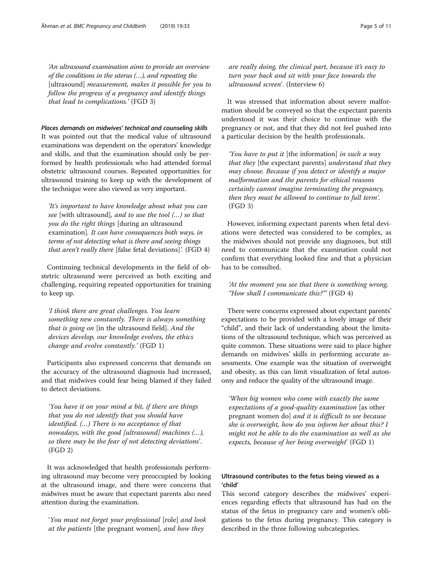'An ultrasound examination aims to provide an overview of the conditions in the uterus (…), and repeating the [ultrasound] *measurement, makes it possible for you to* follow the progress of a pregnancy and identify things that lead to complications.' (FGD 3)

Places demands on midwives' technical and counseling skills It was pointed out that the medical value of ultrasound examinations was dependent on the operators' knowledge and skills, and that the examination should only be performed by health professionals who had attended formal obstetric ultrasound courses. Repeated opportunities for ultrasound training to keep up with the development of the technique were also viewed as very important.

'It's important to have knowledge about what you can see [with ultrasound], and to use the tool (…) so that you do the right things [during an ultrasound examination]. It can have consequences both ways, in terms of not detecting what is there and seeing things that aren't really there [false fetal deviations]'. (FGD 4)

Continuing technical developments in the field of obstetric ultrasound were perceived as both exciting and challenging, requiring repeated opportunities for training to keep up.

'I think there are great challenges. You learn something new constantly. There is always something that is going on [in the ultrasound field]. And the devices develop, our knowledge evolves, the ethics change and evolve constantly.' (FGD 1)

Participants also expressed concerns that demands on the accuracy of the ultrasound diagnosis had increased, and that midwives could fear being blamed if they failed to detect deviations.

'You have it on your mind a bit, if there are things that you do not identify that you should have identified. (…) There is no acceptance of that nowadays, with the good [ultrasound] machines  $(...),$ so there may be the fear of not detecting deviations'. (FGD 2)

It was acknowledged that health professionals performing ultrasound may become very preoccupied by looking at the ultrasound image, and there were concerns that midwives must be aware that expectant parents also need attention during the examination.

'You must not forget your professional [role] and look at the patients [the pregnant women], and how they

are really doing, the clinical part, because it's easy to turn your back and sit with your face towards the ultrasound screen'. (Interview 6)

It was stressed that information about severe malformation should be conveyed so that the expectant parents understood it was their choice to continue with the pregnancy or not, and that they did not feel pushed into a particular decision by the health professionals.

'You have to put it [the information] in such a way that they [the expectant parents] understand that they may choose. Because if you detect or identify a major malformation and the parents for ethical reasons certainly cannot imagine terminating the pregnancy, then they must be allowed to continue to full term'. (FGD 3)

However, informing expectant parents when fetal deviations were detected was considered to be complex, as the midwives should not provide any diagnoses, but still need to communicate that the examination could not confirm that everything looked fine and that a physician has to be consulted.

# 'At the moment you see that there is something wrong, "How shall I communicate this?"' (FGD 4)

There were concerns expressed about expectant parents' expectations to be provided with a lovely image of their "child", and their lack of understanding about the limitations of the ultrasound technique, which was perceived as quite common. These situations were said to place higher demands on midwives' skills in performing accurate assessments. One example was the situation of overweight and obesity, as this can limit visualization of fetal autonomy and reduce the quality of the ultrasound image.

'When big women who come with exactly the same expectations of a good-quality examination [as other pregnant women do] and it is difficult to see because she is overweight, how do you inform her about this? I might not be able to do the examination as well as she expects, because of her being overweight' (FGD 1)

# Ultrasound contributes to the fetus being viewed as a 'child'

This second category describes the midwives' experiences regarding effects that ultrasound has had on the status of the fetus in pregnancy care and women's obligations to the fetus during pregnancy. This category is described in the three following subcategories.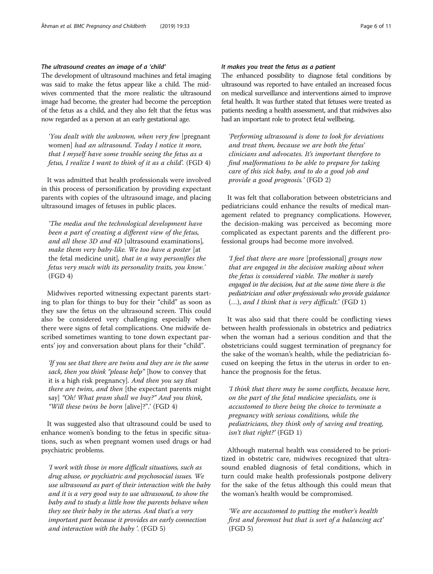# The ultrasound creates an image of a 'child'

The development of ultrasound machines and fetal imaging was said to make the fetus appear like a child. The midwives commented that the more realistic the ultrasound image had become, the greater had become the perception of the fetus as a child, and they also felt that the fetus was now regarded as a person at an early gestational age.

'You dealt with the unknown, when very few [pregnant women] had an ultrasound. Today I notice it more, that I myself have some trouble seeing the fetus as a fetus, I realize I want to think of it as a child'. (FGD 4)

It was admitted that health professionals were involved in this process of personification by providing expectant parents with copies of the ultrasound image, and placing ultrasound images of fetuses in public places.

'The media and the technological development have been a part of creating a different view of the fetus, and all these 3D and 4D [ultrasound examinations], make them very baby-like. We too have a poster [at the fetal medicine unit], that in a way personifies the fetus very much with its personality traits, you know.' (FGD 4)

Midwives reported witnessing expectant parents starting to plan for things to buy for their "child" as soon as they saw the fetus on the ultrasound screen. This could also be considered very challenging especially when there were signs of fetal complications. One midwife described sometimes wanting to tone down expectant parents' joy and conversation about plans for their "child".

'If you see that there are twins and they are in the same sack, then you think "please help" [how to convey that it is a high risk pregnancy]. And then you say that there are twins, and then [the expectant parents might say] "Oh! What pram shall we buy?" And you think, "Will these twins be born [alive]?".' (FGD 4)

It was suggested also that ultrasound could be used to enhance women's bonding to the fetus in specific situations, such as when pregnant women used drugs or had psychiatric problems.

'I work with those in more difficult situations, such as drug abuse, or psychiatric and psychosocial issues. We use ultrasound as part of their interaction with the baby and it is a very good way to use ultrasound, to show the baby and to study a little how the parents behave when they see their baby in the uterus. And that's a very important part because it provides an early connection and interaction with the baby '. (FGD 5)

# It makes you treat the fetus as a patient

The enhanced possibility to diagnose fetal conditions by ultrasound was reported to have entailed an increased focus on medical surveillance and interventions aimed to improve fetal health. It was further stated that fetuses were treated as patients needing a health assessment, and that midwives also had an important role to protect fetal wellbeing.

'Performing ultrasound is done to look for deviations and treat them, because we are both the fetus' clinicians and advocates. It's important therefore to find malformations to be able to prepare for taking care of this sick baby, and to do a good job and provide a good prognosis.' (FGD 2)

It was felt that collaboration between obstetricians and pediatricians could enhance the results of medical management related to pregnancy complications. However, the decision-making was perceived as becoming more complicated as expectant parents and the different professional groups had become more involved.

'I feel that there are more [professional] groups now that are engaged in the decision making about when the fetus is considered viable. The mother is surely engaged in the decision, but at the same time there is the pediatrician and other professionals who provide guidance (…), and I think that is very difficult.' (FGD 1)

It was also said that there could be conflicting views between health professionals in obstetrics and pediatrics when the woman had a serious condition and that the obstetricians could suggest termination of pregnancy for the sake of the woman's health, while the pediatrician focused on keeping the fetus in the uterus in order to enhance the prognosis for the fetus.

'I think that there may be some conflicts, because here, on the part of the fetal medicine specialists, one is accustomed to there being the choice to terminate a pregnancy with serious conditions, while the pediatricians, they think only of saving and treating, isn't that right?' (FGD 1)

Although maternal health was considered to be prioritized in obstetric care, midwives recognized that ultrasound enabled diagnosis of fetal conditions, which in turn could make health professionals postpone delivery for the sake of the fetus although this could mean that the woman's health would be compromised.

'We are accustomed to putting the mother's health first and foremost but that is sort of a balancing act' (FGD 5)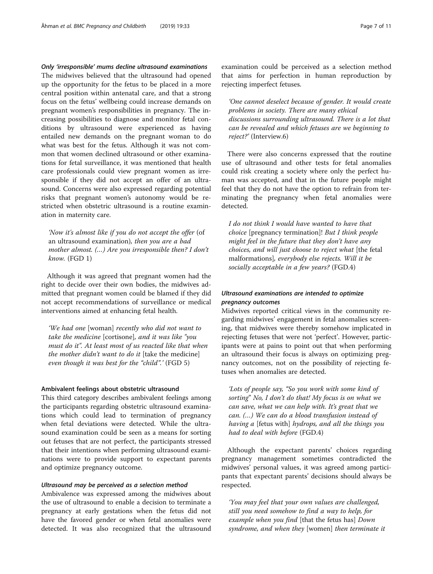Only 'irresponsible' mums decline ultrasound examinations

The midwives believed that the ultrasound had opened up the opportunity for the fetus to be placed in a more central position within antenatal care, and that a strong focus on the fetus' wellbeing could increase demands on pregnant women's responsibilities in pregnancy. The increasing possibilities to diagnose and monitor fetal conditions by ultrasound were experienced as having entailed new demands on the pregnant woman to do what was best for the fetus. Although it was not common that women declined ultrasound or other examinations for fetal surveillance, it was mentioned that health care professionals could view pregnant women as irresponsible if they did not accept an offer of an ultrasound. Concerns were also expressed regarding potential risks that pregnant women's autonomy would be restricted when obstetric ultrasound is a routine examination in maternity care.

'Now it's almost like if you do not accept the offer (of an ultrasound examination), then you are a bad mother almost. (…) Are you irresponsible then? I don't know. (FGD 1)

Although it was agreed that pregnant women had the right to decide over their own bodies, the midwives admitted that pregnant women could be blamed if they did not accept recommendations of surveillance or medical interventions aimed at enhancing fetal health.

'We had one [woman] recently who did not want to take the medicine [cortisone], and it was like "you must do it". At least most of us reacted like that when the mother didn't want to do it [take the medicine] even though it was best for the "child".' (FGD 5)

# Ambivalent feelings about obstetric ultrasound

This third category describes ambivalent feelings among the participants regarding obstetric ultrasound examinations which could lead to termination of pregnancy when fetal deviations were detected. While the ultrasound examination could be seen as a means for sorting out fetuses that are not perfect, the participants stressed that their intentions when performing ultrasound examinations were to provide support to expectant parents and optimize pregnancy outcome.

#### Ultrasound may be perceived as a selection method

Ambivalence was expressed among the midwives about the use of ultrasound to enable a decision to terminate a pregnancy at early gestations when the fetus did not have the favored gender or when fetal anomalies were detected. It was also recognized that the ultrasound examination could be perceived as a selection method that aims for perfection in human reproduction by rejecting imperfect fetuses.

'One cannot deselect because of gender. It would create problems in society. There are many ethical discussions surrounding ultrasound. There is a lot that can be revealed and which fetuses are we beginning to reject?' (Interview.6)

There were also concerns expressed that the routine use of ultrasound and other tests for fetal anomalies could risk creating a society where only the perfect human was accepted, and that in the future people might feel that they do not have the option to refrain from terminating the pregnancy when fetal anomalies were detected.

I do not think I would have wanted to have that choice [pregnancy termination]! But I think people might feel in the future that they don't have any choices, and will just choose to reject what [the fetal malformations], everybody else rejects. Will it be socially acceptable in a few years? (FGD.4)

# Ultrasound examinations are intended to optimize pregnancy outcomes

Midwives reported critical views in the community regarding midwives' engagement in fetal anomalies screening, that midwives were thereby somehow implicated in rejecting fetuses that were not 'perfect'. However, participants were at pains to point out that when performing an ultrasound their focus is always on optimizing pregnancy outcomes, not on the possibility of rejecting fetuses when anomalies are detected.

'Lots of people say, "So you work with some kind of sorting" No, I don't do that! My focus is on what we can save, what we can help with. It's great that we can. (…) We can do a blood transfusion instead of having a [fetus with] hydrops, and all the things you had to deal with before (FGD.4)

Although the expectant parents' choices regarding pregnancy management sometimes contradicted the midwives' personal values, it was agreed among participants that expectant parents' decisions should always be respected.

'You may feel that your own values are challenged, still you need somehow to find a way to help, for example when you find [that the fetus has] Down syndrome, and when they [women] then terminate it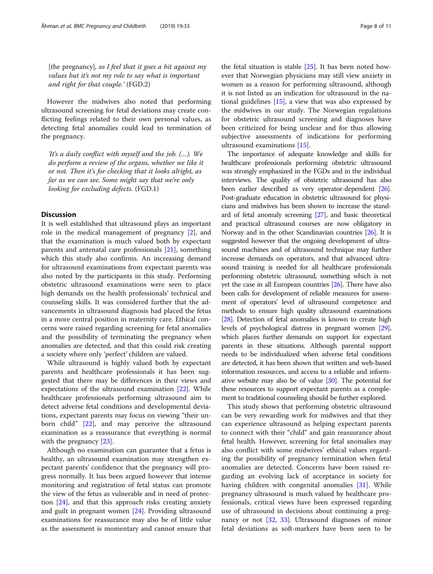[the pregnancy], so I feel that it goes a bit against my values but it's not my role to say what is important and right for that couple.' (FGD.2)

However the midwives also noted that performing ultrasound screening for fetal deviations may create conflicting feelings related to their own personal values, as detecting fetal anomalies could lead to termination of the pregnancy.

'It's a daily conflict with myself and the job. (…). We do perform a review of the organs, whether we like it or not. Then it's for checking that it looks alright, as far as we can see. Some might say that we're only looking for excluding defects. (FGD.1)

# **Discussion**

It is well established that ultrasound plays an important role in the medical management of pregnancy [[2\]](#page-9-0), and that the examination is much valued both by expectant parents and antenatal care professionals [\[21](#page-9-0)], something which this study also confirms. An increasing demand for ultrasound examinations from expectant parents was also noted by the participants in this study. Performing obstetric ultrasound examinations were seen to place high demands on the health professionals' technical and counseling skills. It was considered further that the advancements in ultrasound diagnosis had placed the fetus in a more central position in maternity care. Ethical concerns were raised regarding screening for fetal anomalies and the possibility of terminating the pregnancy when anomalies are detected, and that this could risk creating a society where only 'perfect' children are valued.

While ultrasound is highly valued both by expectant parents and healthcare professionals it has been suggested that there may be differences in their views and expectations of the ultrasound examination [[22](#page-9-0)]. While healthcare professionals performing ultrasound aim to detect adverse fetal conditions and developmental deviations, expectant parents may focus on viewing "their unborn child" [\[22\]](#page-9-0), and may perceive the ultrasound examination as a reassurance that everything is normal with the pregnancy [[23](#page-9-0)].

Although no examination can guarantee that a fetus is healthy, an ultrasound examination may strengthen expectant parents' confidence that the pregnancy will progress normally. It has been argued however that intense monitoring and registration of fetal status can promote the view of the fetus as vulnerable and in need of protection [[24](#page-9-0)], and that this approach risks creating anxiety and guilt in pregnant women [\[24\]](#page-9-0). Providing ultrasound examinations for reassurance may also be of little value as the assessment is momentary and cannot ensure that

the fetal situation is stable [[25](#page-9-0)]. It has been noted however that Norwegian physicians may still view anxiety in women as a reason for performing ultrasound, although it is not listed as an indication for ultrasound in the national guidelines [\[15](#page-9-0)], a view that was also expressed by the midwives in our study. The Norwegian regulations for obstetric ultrasound screening and diagnoses have been criticized for being unclear and for thus allowing subjective assessments of indications for performing ultrasound examinations [\[15\]](#page-9-0).

The importance of adequate knowledge and skills for healthcare professionals performing obstetric ultrasound was strongly emphasized in the FGDs and in the individual interviews. The quality of obstetric ultrasound has also been earlier described as very operator-dependent [\[26](#page-9-0)]. Post-graduate education in obstetric ultrasound for physicians and midwives has been shown to increase the standard of fetal anomaly screening [\[27\]](#page-9-0), and basic theoretical and practical ultrasound courses are now obligatory in Norway and in the other Scandinavian countries [\[26\]](#page-9-0). It is suggested however that the ongoing development of ultrasound machines and of ultrasound technique may further increase demands on operators, and that advanced ultrasound training is needed for all healthcare professionals performing obstetric ultrasound, something which is not yet the case in all European countries [\[26](#page-9-0)]. There have also been calls for development of reliable measures for assessment of operators' level of ultrasound competence and methods to ensure high quality ultrasound examinations [[28](#page-9-0)]. Detection of fetal anomalies is known to create high levels of psychological distress in pregnant women [\[29](#page-9-0)], which places further demands on support for expectant parents in these situations. Although parental support needs to be individualized when adverse fetal conditions are detected, it has been shown that written and web-based information resources, and access to a reliable and informative website may also be of value  $[30]$ . The potential for these resources to support expectant parents as a complement to traditional counseling should be further explored.

This study shows that performing obstetric ultrasound can be very rewarding work for midwives and that they can experience ultrasound as helping expectant parents to connect with their "child" and gain reassurance about fetal health. However, screening for fetal anomalies may also conflict with some midwives' ethical values regarding the possibility of pregnancy termination when fetal anomalies are detected. Concerns have been raised regarding an evolving lack of acceptance in society for having children with congenital anomalies [[31\]](#page-9-0). While pregnancy ultrasound is much valued by healthcare professionals, critical views have been expressed regarding use of ultrasound in decisions about continuing a pregnancy or not [[32,](#page-9-0) [33\]](#page-9-0). Ultrasound diagnoses of minor fetal deviations as soft-markers have been seen to be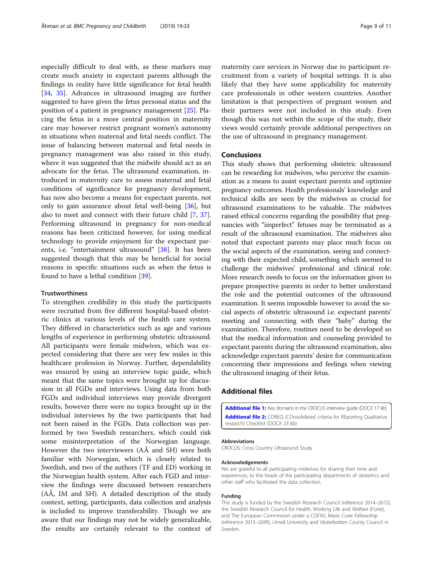<span id="page-8-0"></span>especially difficult to deal with, as these markers may create much anxiety in expectant parents although the findings in reality have little significance for fetal health [[34,](#page-9-0) [35](#page-10-0)]. Advances in ultrasound imaging are further suggested to have given the fetus personal status and the position of a patient in pregnancy management [\[25](#page-9-0)]. Placing the fetus in a more central position in maternity care may however restrict pregnant women's autonomy in situations when maternal and fetal needs conflict. The issue of balancing between maternal and fetal needs in pregnancy management was also raised in this study, where it was suggested that the midwife should act as an advocate for the fetus. The ultrasound examination, introduced in maternity care to assess maternal and fetal conditions of significance for pregnancy development, has now also become a means for expectant parents, not only to gain assurance about fetal well-being [\[36](#page-10-0)], but also to meet and connect with their future child [[7,](#page-9-0) [37](#page-10-0)]. Performing ultrasound in pregnancy for non-medical reasons has been criticized however, for using medical technology to provide enjoyment for the expectant parents, i.e. "entertainment ultrasound" [\[38](#page-10-0)]. It has been suggested though that this may be beneficial for social reasons in specific situations such as when the fetus is found to have a lethal condition [[39\]](#page-10-0).

#### Trustworthiness

To strengthen credibility in this study the participants were recruited from five different hospital-based obstetric clinics at various levels of the health care system. They differed in characteristics such as age and various lengths of experience in performing obstetric ultrasound. All participants were female midwives, which was expected considering that there are very few males in this healthcare profession in Norway. Further, dependability was ensured by using an interview topic guide, which meant that the same topics were brought up for discussion in all FGDs and interviews. Using data from both FGDs and individual interviews may provide divergent results, however there were no topics brought up in the individual interviews by the two participants that had not been raised in the FGDs. Data collection was performed by two Swedish researchers, which could risk some misinterpretation of the Norwegian language. However the two interviewers (AÅ and SH) were both familiar with Norwegian, which is closely related to Swedish, and two of the authors (TF and ED) working in the Norwegian health system. After each FGD and interview the findings were discussed between researchers (AÅ, IM and SH). A detailed description of the study context, setting, participants, data collection and analysis is included to improve transferability. Though we are aware that our findings may not be widely generalizable, the results are certainly relevant to the context of maternity care services in Norway due to participant recruitment from a variety of hospital settings. It is also likely that they have some applicability for maternity care professionals in other western countries. Another limitation is that perspectives of pregnant women and their partners were not included in this study. Even though this was not within the scope of the study, their views would certainly provide additional perspectives on the use of ultrasound in pregnancy management.

#### Conclusions

This study shows that performing obstetric ultrasound can be rewarding for midwives, who perceive the examination as a means to assist expectant parents and optimize pregnancy outcomes. Health professionals' knowledge and technical skills are seen by the midwives as crucial for ultrasound examinations to be valuable. The midwives raised ethical concerns regarding the possibility that pregnancies with "imperfect" fetuses may be terminated as a result of the ultrasound examination. The midwives also noted that expectant parents may place much focus on the social aspects of the examination, seeing and connecting with their expected child, something which seemed to challenge the midwives' professional and clinical role. More research needs to focus on the information given to prepare prospective parents in order to better understand the role and the potential outcomes of the ultrasound examination. It seems impossible however to avoid the social aspects of obstetric ultrasound i.e. expectant parents' meeting and connecting with their "baby" during the examination. Therefore, routines need to be developed so that the medical information and counseling provided to expectant parents during the ultrasound examination, also acknowledge expectant parents' desire for communication concerning their impressions and feelings when viewing the ultrasound imaging of their fetus.

### Additional files

[Additional file 1:](https://doi.org/10.1186/s12884-019-2178-x) Key domains in the CROCUS interview guide (DOCX 17 kb) [Additional file 2:](https://doi.org/10.1186/s12884-019-2178-x) COREQ (COnsolidated criteria for REporting Qualitative research) Checklist (DOCX 23 kb)

#### Abbreviations

CROCUS: Cross Country Ultrasound Study

#### Acknowledgements

We are grateful to all participating midwives for sharing their time and experiences, to the heads of the participating departments of obstetrics and other staff who facilitated the data collection.

#### Funding

This study is funded by the Swedish Research Council (reference 2014–2672), the Swedish Research Council for Health, Working Life and Welfare (Forte), and The European Commission under a COFAS, Marie Curie Fellowship (reference 2013–2699), Umeå University and Västerbotten County Council in Sweden.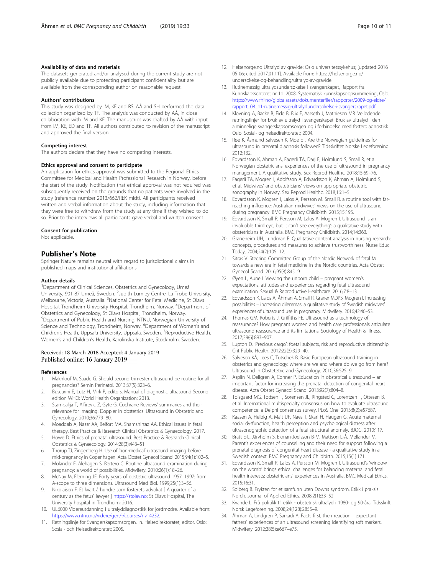#### <span id="page-9-0"></span>Availability of data and materials

The datasets generated and/or analysed during the current study are not publicly available due to protecting participant confidentiality but are available from the corresponding author on reasonable request.

#### Authors' contributions

This study was designed by IM, KE and RS. AÅ and SH performed the data collection organized by TF. The analysis was conducted by AÅ, in close collaboration with IM and KE. The manuscript was drafted by AÅ with input from IM, KE, ED and TF. All authors contributed to revision of the manuscript and approved the final version.

#### Competing interest

The authors declare that they have no competing interests.

#### Ethics approval and consent to participate

An application for ethics approval was submitted to the Regional Ethics Committee for Medical and Health Professional Research in Norway, before the start of the study. Notification that ethical approval was not required was subsequently received on the grounds that no patients were involved in the study (reference number 2013/662/REK midt). All participants received written and verbal information about the study, including information that they were free to withdraw from the study at any time if they wished to do so. Prior to the interviews all participants gave verbal and written consent.

#### Consent for publication

Not applicable.

#### Publisher's Note

Springer Nature remains neutral with regard to jurisdictional claims in published maps and institutional affiliations.

#### Author details

<sup>1</sup>Department of Clinical Sciences, Obstetrics and Gynecology, Umeå University, 901 87 Umeå, Sweden. <sup>2</sup>Judith Lumley Centre, La Trobe University, Melbourne, Victoria, Australia. <sup>3</sup>National Center for Fetal Medicine, St Olavs Hospital, Trondheim University Hospital, Trondheim, Norway. <sup>4</sup>Department of Obstetrics and Gynecology, St Olavs Hospital, Trondheim, Norway. 5 Department of Public Health and Nursing, NTNU, Norwegian University of Science and Technology, Trondheim, Norway. <sup>6</sup>Department of Women's and Children's Health, Uppsala University, Uppsala, Sweden. <sup>7</sup>Reproductive Health, Women's and Children's Health, Karolinska Institute, Stockholm, Sweden.

#### Received: 18 March 2018 Accepted: 4 January 2019 Published online: 16 January 2019

#### References

- Makhlouf M, Saade G. Should second trimester ultrasound be routine for all pregnancies? Semin Perinatol. 2013;37(5):323–6.
- 2. Buscarini E, Lutz H, Mirk P, editors. Manual of diagnostic ultrasound Second edition WHO: World Health Organization; 2013.
- 3. Stampalija T, Alfirevic Z, Gyte G. Cochrane Reviews' summaries and their relevance for imaging: Doppler in obstetrics. Ultrasound in Obstetric and Gynecology. 2010;36:779–80.
- 4. Moaddab A, Nassr AA, Belfort MA, Shamshirsaz AA. Ethical issues in fetal
- therapy. Best Practice & Research Clinical Obstetrics & Gynaecology. 2017. 5. Howe D. Ethics of prenatal ultrasound. Best Practice & Research Clinical Obstetrics & Gynaecology. 2014;28(3):443–51.
- 6. Thorup TJ, Zingenberg H. Use of 'non-medical' ultrasound imaging before mid-pregnancy in Copenhagen. Acta Obstet Gynecol Scand. 2015;94(1):102–5.
- 7. Molander E, Alehagen S, Bertero C. Routine ultrasound examination during pregnancy: a world of possibilities. Midwifery. 2010;26(1):18–26.
- 8. McNay M, Fleming JE. Forty years of obstetric ultrasound 1957–1997: from A-scope to three dimensions. Ultrasound Med Biol. 1999;25(1):3–56.
- 9. Nikolaisen F. Et kvart århundre som fosterets advokat [ A quarter of a century as the fetus' lawyer ] <https://stolav.no>: St Olavs Hospital, The University hospital in Trondheim; 2016.
- 10. UL6000 Videreutdanning i ultralyddiagnostikk for jordmødre. Available from: <https://www.ntnu.no/videre/gen/-/courses/nv14232>.
- 11. Retningslinje for Svangerskapsomsorgen. In. Helsedirektoratet, editor. Oslo: Sosial- och Helsedirektoratet; 2005.
- 12. Helsenorge.no Ultralyd av gravide: Oslo universitetssykehus; [updated 2016 05 06; cited 2017.01.11]. Available from: https: //helsenorge.no/ undersokelse-og-behandling/ultralyd-av-gravide.
- 13. Rutinemessig ultralydsundersøkelse i svangerskapet, Rapport fra Kunnskapssenteret nr 11–2008, Systematisk kunnskapsoppsummering, Oslo. [https://www.fhi.no/globalassets/dokumenterfiler/rapporter/2009-og-eldre/](https://www.fhi.no/globalassets/dokumenterfiler/rapporter/2009-og-eldre/rapport_08_11-rutinemessig-ultralydundersokelse-i-svangerskapet.pdf) [rapport\\_08\\_11-rutinemessig-ultralydundersokelse-i-svangerskapet.pdf](https://www.fhi.no/globalassets/dokumenterfiler/rapporter/2009-og-eldre/rapport_08_11-rutinemessig-ultralydundersokelse-i-svangerskapet.pdf)
- 14. Klovning A, Backe B, Eide B, Blix E, Aarseth J, Mathiesen MR. Veiledende retningslinjer for bruk av ultralyd i svangerskapet. Bruk av ultralyd i den alminnelige svangerskapsomsorgen og i forbindelse med fosterdiagnostikk. Oslo: Sosial- og helsedirektoratet; 2004.
- 15. Røe K, Åsmund Salvesen K, Moe ET. Are the Norwegian guidelines for ultrasound in prenatal diagnosis followed? Tidsskriftet Norske Legeforening. 2012;132.
- 16. Edvardsson K, Ahman A, Fagerli TA, Darj E, Holmlund S, Small R, et al. Norwegian obstetricians' experiences of the use of ultrasound in pregnancy management. A qualitative study. Sex Reprod Healthc. 2018;15:69–76.
- 17. Fagerli TA, Mogren I, Adolfsson A, Edvardsson K, Ahman A, Holmlund S, et al. Midwives' and obstetricians' views on appropriate obstetric sonography in Norway. Sex Reprod Healthc. 2018;16:1–5.
- Edvardsson K, Mogren I, Lalos A, Persson M. Small R. a routine tool with farreaching influence: Australian midwives' views on the use of ultrasound during pregnancy. BMC Pregnancy Childbirth. 2015;15:195.
- 19. Edvardsson K, Small R, Persson M, Lalos A, Mogren I. Ultrasound is an invaluable third eye, but it can't see everything': a qualitative study with obstetricians in Australia. BMC Pregnancy Childbirth. 2014;14:363.
- 20. Graneheim UH, Lundman B. Qualitative content analysis in nursing research: concepts, procedures and measures to achieve trustworthiness. Nurse Educ Today. 2004;24(2):105–12.
- 21. Sitras V. Steering Committee Group of the Nordic Network of fetal M. towards a new era in fetal medicine in the Nordic countries. Acta Obstet Gynecol Scand. 2016;95(8):845–9.
- 22. Øyen L, Aune I. Viewing the unborn child pregnant women's expectations, attitudes and experiences regarding fetal ultrasound examination. Sexual & Reproductive Healthcare. 2016;7:8–13.
- 23. Edvardsson K, Lalos A, Åhman A, Small R, Graner MDPS, Mogren I. Increasing possibilities – increasing dilemmas: a qualitative study of Swedish midwives' experiences of ultrasound use in pregnancy. Midwifery. 2016;42:46–53.
- 24. Thomas GM, Roberts J, Griffiths FE. Ultrasound as a technology of reassurance? How pregnant women and health care professionals articulate ultrasound reassurance and its limitations. Sociology of Health & Illness. 2017;39(6):893–907.
- 25. Lupton D. 'Precious cargo': foetal subjects, risk and reproductive citizenship. Crit Public Health. 2012;22(3):329–40.
- 26. Salvesen KÅ, Lees C, Tutschek B. Basic European ultrasound training in obstetrics and gynecology: where are we and where do we go from here? Ultrasound in Obstetetric and Gynecology. 2010;36:525–9.
- 27. Asplin N, Dellgren A, Conner P. Education in obstetrical ultrasound an important factor for increasing the prenatal detection of congenital heart disease. Acta Obstet Gynecol Scand. 2013;92(7):804–8.
- 28. Tolsgaard MG, Todsen T, Sorensen JL, Ringsted C, Lorentzen T, Ottesen B, et al. International multispecialty consensus on how to evaluate ultrasound competence: a Delphi consensus survey. PLoS One. 2013;8(2):e57687.
- 29. Kaasen A, Helbig A, Malt UF, Naes T, Skari H, Haugen G. Acute maternal social dysfunction, health perception and psychological distress after ultrasonographic detection of a fetal structural anomaly. BJOG. 2010;117.
- 30. Bratt E-L, Järvholm S, Ekman-Joelsson B-M, Mattson L-Å, Mellander M. Parent's experiences of counselling and their need for support following a prenatal diagnosis of congenital heart disease - a qualitative study in a Swedish context. BMC Pregnancy and Childbirth. 2015;15(1):171.
- 31. Edvardsson K, Small R, Lalos A, Persson M, Mogren I. Ultrasound's 'window on the womb' brings ethical challenges for balancing maternal and fetal health interests: obstetricians' experiences in Australia. BMC Medical Ethics. 2015;16:31.
- 32. Solberg B. Frykten for et samfunn uten Downs syndrom. Etikk i praksis Nordic Journal of Applied Ethics. 2008;2(1):33–52.
- 33. Kvande L. Frå politikk til etikk obstetrisk ultralyd i 1980- og 90-åra. Tidsskrift Norsk Legeforening. 2008;24(128):2855–9.
- 34. Åhman A, Lindgren P, Sarkadi A. Facts first, then reaction—expectant fathers' experiences of an ultrasound screening identifying soft markers. Midwifery. 2012;28(5):e667–e75.